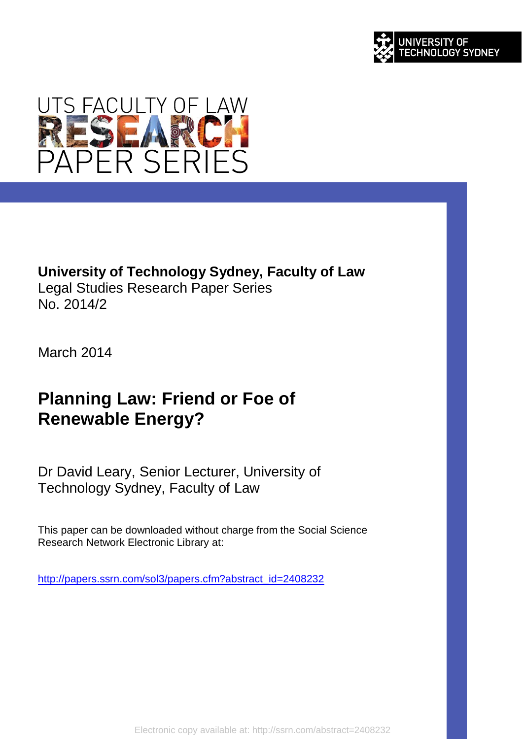



## **University of Technology Sydney, Faculty of Law**

Legal Studies Research Paper Series No. 2014/2

March 2014

# **Planning Law: Friend or Foe of Renewable Energy?**

Dr David Leary, Senior Lecturer, University of Technology Sydney, Faculty of Law

This paper can be downloaded without charge from the Social Science Research Network Electronic Library at:

[http://papers.ssrn.com/sol3/papers.cfm?abstract\\_id=2408232](http://papers.ssrn.com/sol3/papers.cfm?abstract_id=2408232)

Electronic copy available at: http://ssrn.com/abstract=2408232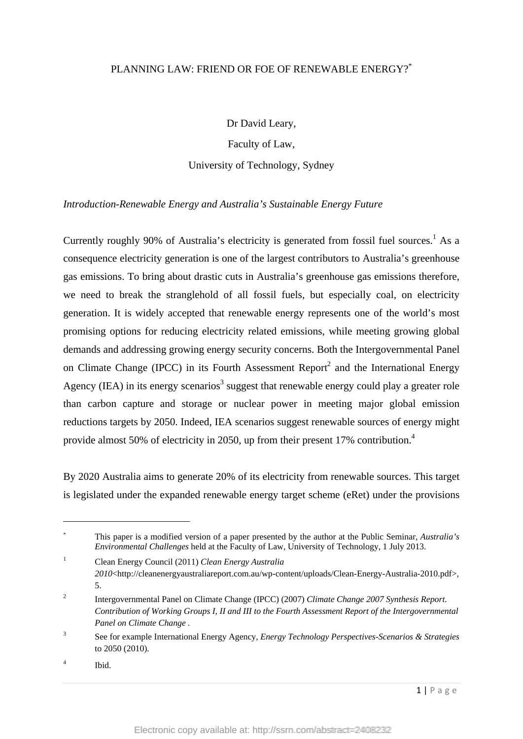#### PLANNING LAW: FRIEND OR FOE OF RENEWABLE ENERGY?

Dr David Leary, Faculty of Law,

University of Technology, Sydney

*Introduction-Renewable Energy and Australia's Sustainable Energy Future* 

Currently roughly 90% of Australia's electricity is generated from fossil fuel sources.<sup>1</sup> As a consequence electricity generation is one of the largest contributors to Australia's greenhouse gas emissions. To bring about drastic cuts in Australia's greenhouse gas emissions therefore, we need to break the stranglehold of all fossil fuels, but especially coal, on electricity generation. It is widely accepted that renewable energy represents one of the world's most promising options for reducing electricity related emissions, while meeting growing global demands and addressing growing energy security concerns. Both the Intergovernmental Panel on Climate Change (IPCC) in its Fourth Assessment Report<sup>2</sup> and the International Energy Agency (IEA) in its energy scenarios<sup>3</sup> suggest that renewable energy could play a greater role than carbon capture and storage or nuclear power in meeting major global emission reductions targets by 2050. Indeed, IEA scenarios suggest renewable sources of energy might provide almost 50% of electricity in 2050, up from their present 17% contribution.4

By 2020 Australia aims to generate 20% of its electricity from renewable sources. This target is legislated under the expanded renewable energy target scheme (eRet) under the provisions

\* This paper is a modified version of a paper presented by the author at the Public Seminar, *Australia's Environmental Challenges* held at the Faculty of Law, University of Technology, 1 July 2013.

1 Clean Energy Council (2011) *Clean Energy Australia 2010*<http://cleanenergyaustraliareport.com.au/wp-content/uploads/Clean-Energy-Australia-2010.pdf>, 5.

<sup>2</sup> Intergovernmental Panel on Climate Change (IPCC) (2007) *Climate Change 2007 Synthesis Report. Contribution of Working Groups I, II and III to the Fourth Assessment Report of the Intergovernmental Panel on Climate Change .*

 $\overline{3}$  See for example International Energy Agency, *Energy Technology Perspectives-Scenarios & Strategies* to 2050 (2010).

<sup>4</sup> Ibid.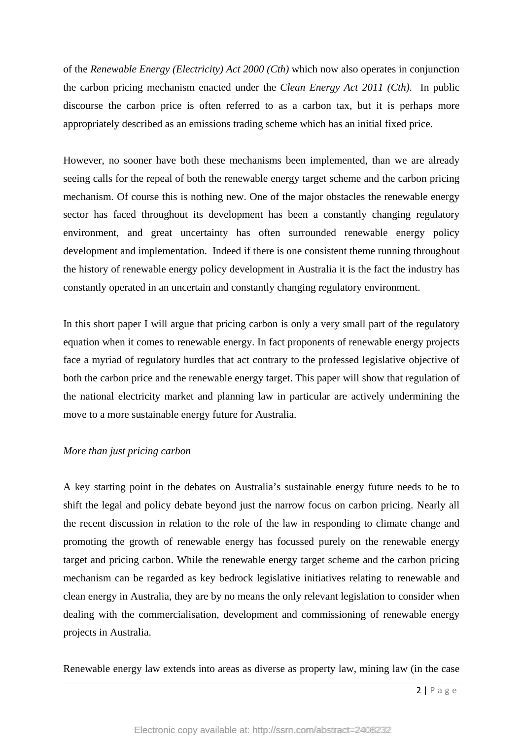of the *Renewable Energy (Electricity) Act 2000 (Cth)* which now also operates in conjunction the carbon pricing mechanism enacted under the *Clean Energy Act 2011 (Cth)*. In public discourse the carbon price is often referred to as a carbon tax, but it is perhaps more appropriately described as an emissions trading scheme which has an initial fixed price.

However, no sooner have both these mechanisms been implemented, than we are already seeing calls for the repeal of both the renewable energy target scheme and the carbon pricing mechanism. Of course this is nothing new. One of the major obstacles the renewable energy sector has faced throughout its development has been a constantly changing regulatory environment, and great uncertainty has often surrounded renewable energy policy development and implementation. Indeed if there is one consistent theme running throughout the history of renewable energy policy development in Australia it is the fact the industry has constantly operated in an uncertain and constantly changing regulatory environment.

In this short paper I will argue that pricing carbon is only a very small part of the regulatory equation when it comes to renewable energy. In fact proponents of renewable energy projects face a myriad of regulatory hurdles that act contrary to the professed legislative objective of both the carbon price and the renewable energy target. This paper will show that regulation of the national electricity market and planning law in particular are actively undermining the move to a more sustainable energy future for Australia.

#### *More than just pricing carbon*

A key starting point in the debates on Australia's sustainable energy future needs to be to shift the legal and policy debate beyond just the narrow focus on carbon pricing. Nearly all the recent discussion in relation to the role of the law in responding to climate change and promoting the growth of renewable energy has focussed purely on the renewable energy target and pricing carbon. While the renewable energy target scheme and the carbon pricing mechanism can be regarded as key bedrock legislative initiatives relating to renewable and clean energy in Australia, they are by no means the only relevant legislation to consider when dealing with the commercialisation, development and commissioning of renewable energy projects in Australia.

Renewable energy law extends into areas as diverse as property law, mining law (in the case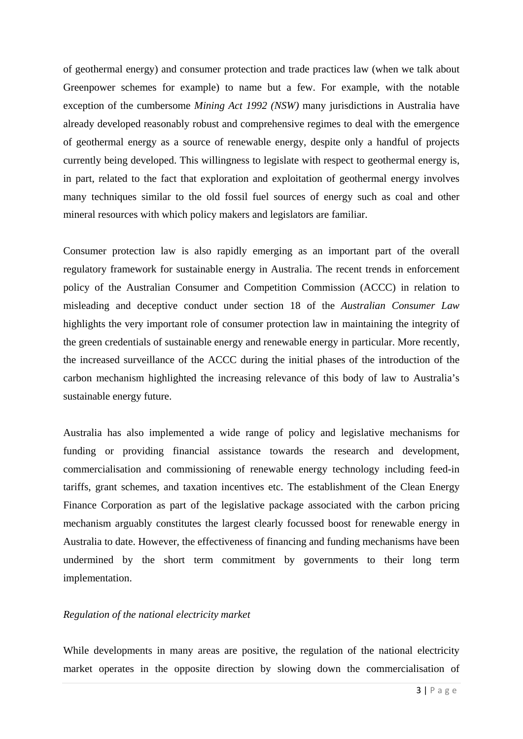of geothermal energy) and consumer protection and trade practices law (when we talk about Greenpower schemes for example) to name but a few. For example, with the notable exception of the cumbersome *Mining Act 1992 (NSW)* many jurisdictions in Australia have already developed reasonably robust and comprehensive regimes to deal with the emergence of geothermal energy as a source of renewable energy, despite only a handful of projects currently being developed. This willingness to legislate with respect to geothermal energy is, in part, related to the fact that exploration and exploitation of geothermal energy involves many techniques similar to the old fossil fuel sources of energy such as coal and other mineral resources with which policy makers and legislators are familiar.

Consumer protection law is also rapidly emerging as an important part of the overall regulatory framework for sustainable energy in Australia. The recent trends in enforcement policy of the Australian Consumer and Competition Commission (ACCC) in relation to misleading and deceptive conduct under section 18 of the *Australian Consumer Law* highlights the very important role of consumer protection law in maintaining the integrity of the green credentials of sustainable energy and renewable energy in particular. More recently, the increased surveillance of the ACCC during the initial phases of the introduction of the carbon mechanism highlighted the increasing relevance of this body of law to Australia's sustainable energy future.

Australia has also implemented a wide range of policy and legislative mechanisms for funding or providing financial assistance towards the research and development, commercialisation and commissioning of renewable energy technology including feed-in tariffs, grant schemes, and taxation incentives etc. The establishment of the Clean Energy Finance Corporation as part of the legislative package associated with the carbon pricing mechanism arguably constitutes the largest clearly focussed boost for renewable energy in Australia to date. However, the effectiveness of financing and funding mechanisms have been undermined by the short term commitment by governments to their long term implementation.

#### *Regulation of the national electricity market*

While developments in many areas are positive, the regulation of the national electricity market operates in the opposite direction by slowing down the commercialisation of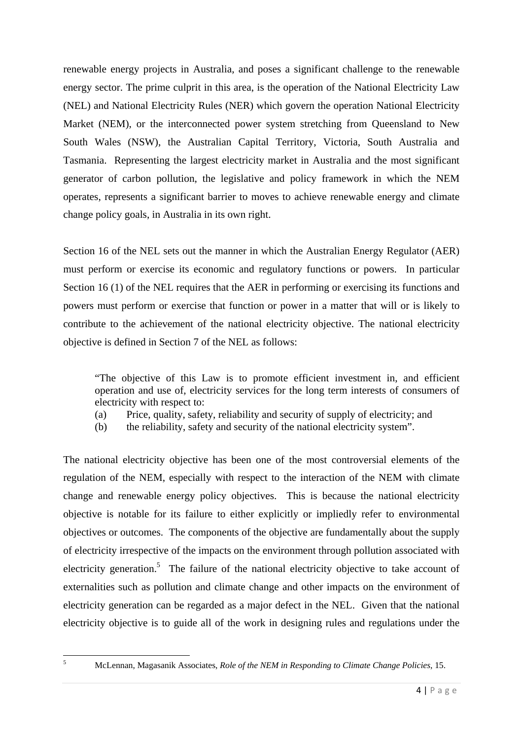renewable energy projects in Australia, and poses a significant challenge to the renewable energy sector. The prime culprit in this area, is the operation of the National Electricity Law (NEL) and National Electricity Rules (NER) which govern the operation National Electricity Market (NEM), or the interconnected power system stretching from Queensland to New South Wales (NSW), the Australian Capital Territory, Victoria, South Australia and Tasmania. Representing the largest electricity market in Australia and the most significant generator of carbon pollution, the legislative and policy framework in which the NEM operates, represents a significant barrier to moves to achieve renewable energy and climate change policy goals, in Australia in its own right.

Section 16 of the NEL sets out the manner in which the Australian Energy Regulator (AER) must perform or exercise its economic and regulatory functions or powers. In particular Section 16 (1) of the NEL requires that the AER in performing or exercising its functions and powers must perform or exercise that function or power in a matter that will or is likely to contribute to the achievement of the national electricity objective. The national electricity objective is defined in Section 7 of the NEL as follows:

 "The objective of this Law is to promote efficient investment in, and efficient operation and use of, electricity services for the long term interests of consumers of electricity with respect to:

- (a) Price, quality, safety, reliability and security of supply of electricity; and
- (b) the reliability, safety and security of the national electricity system".

The national electricity objective has been one of the most controversial elements of the regulation of the NEM, especially with respect to the interaction of the NEM with climate change and renewable energy policy objectives. This is because the national electricity objective is notable for its failure to either explicitly or impliedly refer to environmental objectives or outcomes. The components of the objective are fundamentally about the supply of electricity irrespective of the impacts on the environment through pollution associated with electricity generation.<sup>5</sup> The failure of the national electricity objective to take account of externalities such as pollution and climate change and other impacts on the environment of electricity generation can be regarded as a major defect in the NEL. Given that the national electricity objective is to guide all of the work in designing rules and regulations under the

McLennan, Magasanik Associates, *Role of the NEM in Responding to Climate Change Policies*, 15.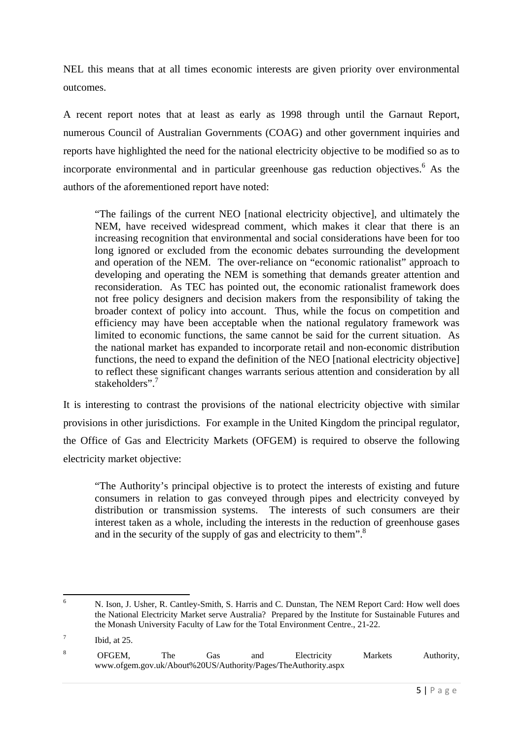NEL this means that at all times economic interests are given priority over environmental outcomes.

A recent report notes that at least as early as 1998 through until the Garnaut Report, numerous Council of Australian Governments (COAG) and other government inquiries and reports have highlighted the need for the national electricity objective to be modified so as to incorporate environmental and in particular greenhouse gas reduction objectives.<sup>6</sup> As the authors of the aforementioned report have noted:

"The failings of the current NEO [national electricity objective], and ultimately the NEM, have received widespread comment, which makes it clear that there is an increasing recognition that environmental and social considerations have been for too long ignored or excluded from the economic debates surrounding the development and operation of the NEM. The over-reliance on "economic rationalist" approach to developing and operating the NEM is something that demands greater attention and reconsideration. As TEC has pointed out, the economic rationalist framework does not free policy designers and decision makers from the responsibility of taking the broader context of policy into account. Thus, while the focus on competition and efficiency may have been acceptable when the national regulatory framework was limited to economic functions, the same cannot be said for the current situation. As the national market has expanded to incorporate retail and non-economic distribution functions, the need to expand the definition of the NEO [national electricity objective] to reflect these significant changes warrants serious attention and consideration by all stakeholders".<sup>7</sup>

It is interesting to contrast the provisions of the national electricity objective with similar provisions in other jurisdictions. For example in the United Kingdom the principal regulator, the Office of Gas and Electricity Markets (OFGEM) is required to observe the following electricity market objective:

"The Authority's principal objective is to protect the interests of existing and future consumers in relation to gas conveyed through pipes and electricity conveyed by distribution or transmission systems. The interests of such consumers are their interest taken as a whole, including the interests in the reduction of greenhouse gases and in the security of the supply of gas and electricity to them".<sup>8</sup>

 6 N. Ison, J. Usher, R. Cantley-Smith, S. Harris and C. Dunstan, The NEM Report Card: How well does the National Electricity Market serve Australia? Prepared by the Institute for Sustainable Futures and the Monash University Faculty of Law for the Total Environment Centre., 21-22.

<sup>7</sup> Ibid, at 25.

<sup>8</sup> OFGEM, The Gas and Electricity Markets Authority, www.ofgem.gov.uk/About%20US/Authority/Pages/TheAuthority.aspx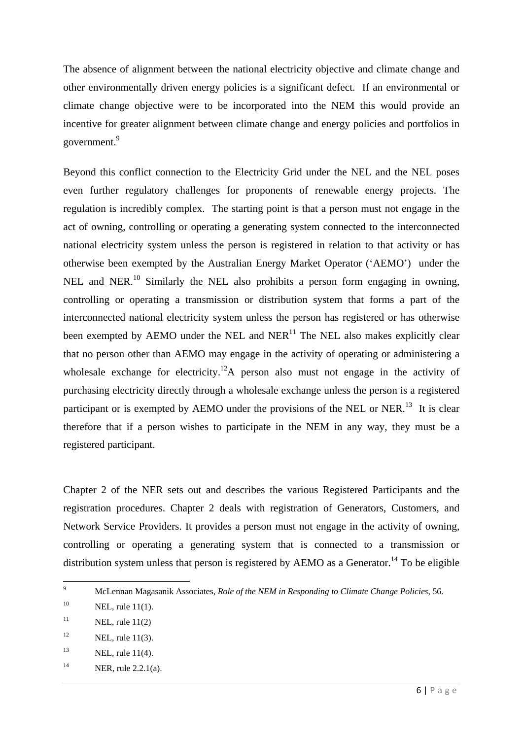The absence of alignment between the national electricity objective and climate change and other environmentally driven energy policies is a significant defect. If an environmental or climate change objective were to be incorporated into the NEM this would provide an incentive for greater alignment between climate change and energy policies and portfolios in government.<sup>9</sup>

Beyond this conflict connection to the Electricity Grid under the NEL and the NEL poses even further regulatory challenges for proponents of renewable energy projects. The regulation is incredibly complex. The starting point is that a person must not engage in the act of owning, controlling or operating a generating system connected to the interconnected national electricity system unless the person is registered in relation to that activity or has otherwise been exempted by the Australian Energy Market Operator ('AEMO') under the NEL and NER.<sup>10</sup> Similarly the NEL also prohibits a person form engaging in owning, controlling or operating a transmission or distribution system that forms a part of the interconnected national electricity system unless the person has registered or has otherwise been exempted by AEMO under the NEL and  $NER<sup>11</sup>$  The NEL also makes explicitly clear that no person other than AEMO may engage in the activity of operating or administering a wholesale exchange for electricity.<sup>12</sup>A person also must not engage in the activity of purchasing electricity directly through a wholesale exchange unless the person is a registered participant or is exempted by AEMO under the provisions of the NEL or NER.<sup>13</sup> It is clear therefore that if a person wishes to participate in the NEM in any way, they must be a registered participant.

Chapter 2 of the NER sets out and describes the various Registered Participants and the registration procedures. Chapter 2 deals with registration of Generators, Customers, and Network Service Providers. It provides a person must not engage in the activity of owning, controlling or operating a generating system that is connected to a transmission or distribution system unless that person is registered by AEMO as a Generator.<sup>14</sup> To be eligible

 9 McLennan Magasanik Associates, *Role of the NEM in Responding to Climate Change Policies*, 56.

 $10$  NEL, rule 11(1).

<sup>&</sup>lt;sup>11</sup> NEL, rule  $11(2)$ 

 $12$  NEL, rule 11(3).

 $13$  NEL, rule 11(4).

<sup>&</sup>lt;sup>14</sup> NER, rule 2.2.1(a).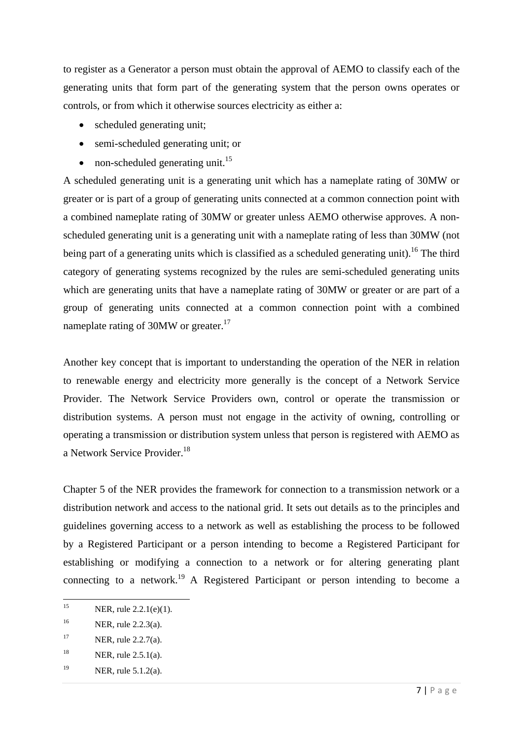to register as a Generator a person must obtain the approval of AEMO to classify each of the generating units that form part of the generating system that the person owns operates or controls, or from which it otherwise sources electricity as either a:

- scheduled generating unit;
- semi-scheduled generating unit; or
- non-scheduled generating unit.<sup>15</sup>

A scheduled generating unit is a generating unit which has a nameplate rating of 30MW or greater or is part of a group of generating units connected at a common connection point with a combined nameplate rating of 30MW or greater unless AEMO otherwise approves. A nonscheduled generating unit is a generating unit with a nameplate rating of less than 30MW (not being part of a generating units which is classified as a scheduled generating unit).<sup>16</sup> The third category of generating systems recognized by the rules are semi-scheduled generating units which are generating units that have a nameplate rating of 30MW or greater or are part of a group of generating units connected at a common connection point with a combined nameplate rating of 30MW or greater.<sup>17</sup>

Another key concept that is important to understanding the operation of the NER in relation to renewable energy and electricity more generally is the concept of a Network Service Provider. The Network Service Providers own, control or operate the transmission or distribution systems. A person must not engage in the activity of owning, controlling or operating a transmission or distribution system unless that person is registered with AEMO as a Network Service Provider.<sup>18</sup>

Chapter 5 of the NER provides the framework for connection to a transmission network or a distribution network and access to the national grid. It sets out details as to the principles and guidelines governing access to a network as well as establishing the process to be followed by a Registered Participant or a person intending to become a Registered Participant for establishing or modifying a connection to a network or for altering generating plant connecting to a network.<sup>19</sup> A Registered Participant or person intending to become a

<sup>&</sup>lt;sup>15</sup> NER, rule 2.2.1(e)(1).

<sup>16</sup> NER, rule 2.2.3(a).

<sup>&</sup>lt;sup>17</sup> NER, rule 2.2.7(a).

<sup>&</sup>lt;sup>18</sup> NER, rule 2.5.1(a).

<sup>19</sup> NER, rule 5.1.2(a).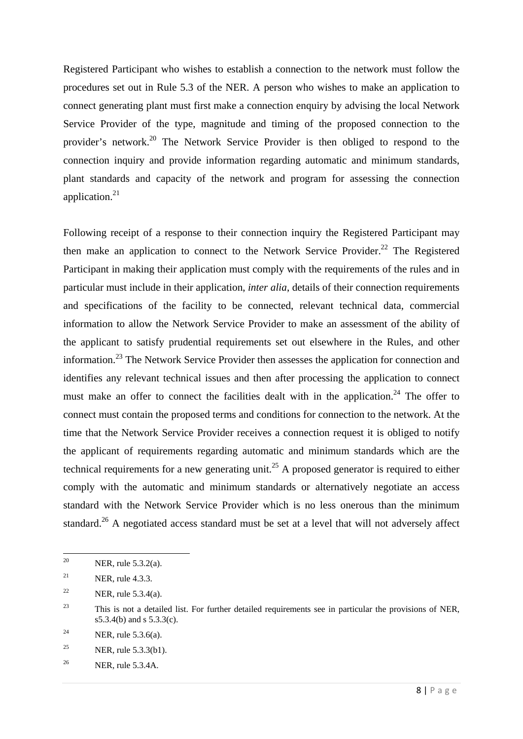Registered Participant who wishes to establish a connection to the network must follow the procedures set out in Rule 5.3 of the NER. A person who wishes to make an application to connect generating plant must first make a connection enquiry by advising the local Network Service Provider of the type, magnitude and timing of the proposed connection to the provider's network.20 The Network Service Provider is then obliged to respond to the connection inquiry and provide information regarding automatic and minimum standards, plant standards and capacity of the network and program for assessing the connection application. $21$ 

Following receipt of a response to their connection inquiry the Registered Participant may then make an application to connect to the Network Service Provider.<sup>22</sup> The Registered Participant in making their application must comply with the requirements of the rules and in particular must include in their application, *inter alia*, details of their connection requirements and specifications of the facility to be connected, relevant technical data, commercial information to allow the Network Service Provider to make an assessment of the ability of the applicant to satisfy prudential requirements set out elsewhere in the Rules, and other information.23 The Network Service Provider then assesses the application for connection and identifies any relevant technical issues and then after processing the application to connect must make an offer to connect the facilities dealt with in the application.<sup>24</sup> The offer to connect must contain the proposed terms and conditions for connection to the network. At the time that the Network Service Provider receives a connection request it is obliged to notify the applicant of requirements regarding automatic and minimum standards which are the technical requirements for a new generating unit.<sup>25</sup> A proposed generator is required to either comply with the automatic and minimum standards or alternatively negotiate an access standard with the Network Service Provider which is no less onerous than the minimum standard.<sup>26</sup> A negotiated access standard must be set at a level that will not adversely affect

<sup>&</sup>lt;sup>20</sup> NER, rule 5.3.2(a).

<sup>&</sup>lt;sup>21</sup> NER, rule 4.3.3.

<sup>&</sup>lt;sup>22</sup> NER, rule 5.3.4(a).

<sup>&</sup>lt;sup>23</sup> This is not a detailed list. For further detailed requirements see in particular the provisions of NER, s5.3.4(b) and s 5.3.3(c).

<sup>&</sup>lt;sup>24</sup> NER, rule 5.3.6(a).

<sup>&</sup>lt;sup>25</sup> NER, rule 5.3.3(b1).

<sup>26</sup> NER, rule 5.3.4A.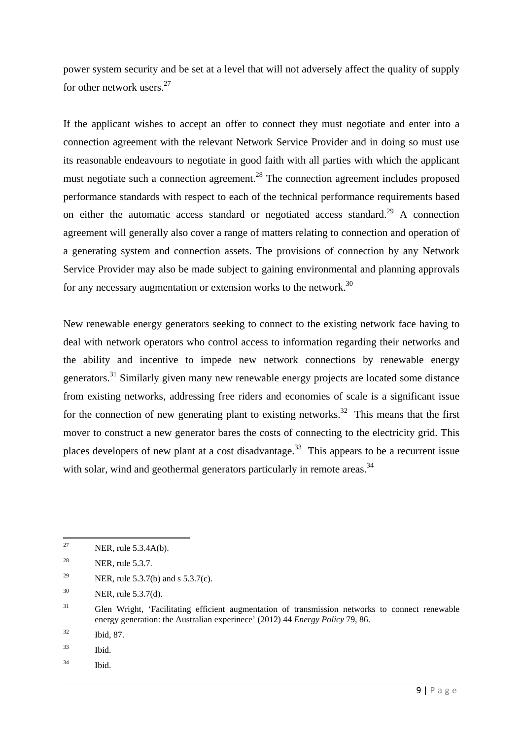power system security and be set at a level that will not adversely affect the quality of supply for other network users. $27$ 

If the applicant wishes to accept an offer to connect they must negotiate and enter into a connection agreement with the relevant Network Service Provider and in doing so must use its reasonable endeavours to negotiate in good faith with all parties with which the applicant must negotiate such a connection agreement.<sup>28</sup> The connection agreement includes proposed performance standards with respect to each of the technical performance requirements based on either the automatic access standard or negotiated access standard.<sup>29</sup> A connection agreement will generally also cover a range of matters relating to connection and operation of a generating system and connection assets. The provisions of connection by any Network Service Provider may also be made subject to gaining environmental and planning approvals for any necessary augmentation or extension works to the network.<sup>30</sup>

New renewable energy generators seeking to connect to the existing network face having to deal with network operators who control access to information regarding their networks and the ability and incentive to impede new network connections by renewable energy generators.<sup>31</sup> Similarly given many new renewable energy projects are located some distance from existing networks, addressing free riders and economies of scale is a significant issue for the connection of new generating plant to existing networks.<sup>32</sup> This means that the first mover to construct a new generator bares the costs of connecting to the electricity grid. This places developers of new plant at a cost disadvantage.<sup>33</sup> This appears to be a recurrent issue with solar, wind and geothermal generators particularly in remote areas.<sup>34</sup>

- 33 Ibid.
- 34 Ibid.

 <sup>27</sup> NER, rule 5.3.4A(b).

<sup>&</sup>lt;sup>28</sup> NER, rule 5.3.7.

<sup>&</sup>lt;sup>29</sup> NER, rule 5.3.7(b) and s 5.3.7(c).

<sup>30</sup> NER, rule 5.3.7(d).

<sup>&</sup>lt;sup>31</sup> Glen Wright, 'Facilitating efficient augmentation of transmission networks to connect renewable energy generation: the Australian experinece' (2012) 44 *Energy Policy* 79, 86.

<sup>32</sup> Ibid, 87.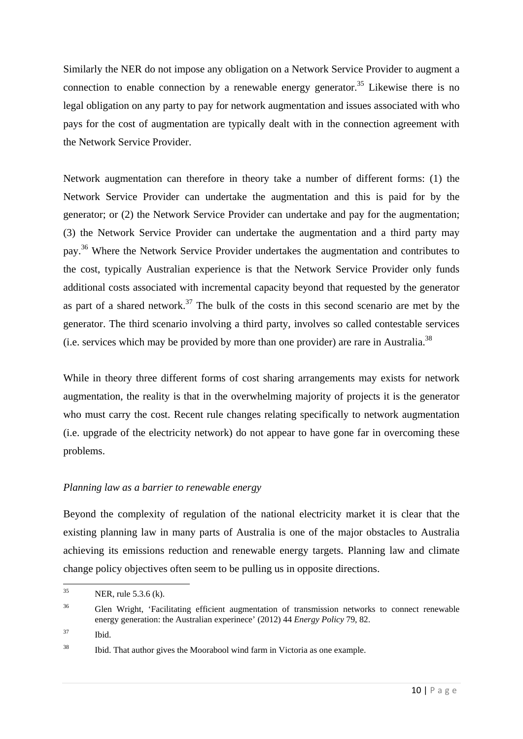Similarly the NER do not impose any obligation on a Network Service Provider to augment a connection to enable connection by a renewable energy generator.<sup>35</sup> Likewise there is no legal obligation on any party to pay for network augmentation and issues associated with who pays for the cost of augmentation are typically dealt with in the connection agreement with the Network Service Provider.

Network augmentation can therefore in theory take a number of different forms: (1) the Network Service Provider can undertake the augmentation and this is paid for by the generator; or (2) the Network Service Provider can undertake and pay for the augmentation; (3) the Network Service Provider can undertake the augmentation and a third party may pay.36 Where the Network Service Provider undertakes the augmentation and contributes to the cost, typically Australian experience is that the Network Service Provider only funds additional costs associated with incremental capacity beyond that requested by the generator as part of a shared network.<sup>37</sup> The bulk of the costs in this second scenario are met by the generator. The third scenario involving a third party, involves so called contestable services (i.e. services which may be provided by more than one provider) are rare in Australia.38

While in theory three different forms of cost sharing arrangements may exists for network augmentation, the reality is that in the overwhelming majority of projects it is the generator who must carry the cost. Recent rule changes relating specifically to network augmentation (i.e. upgrade of the electricity network) do not appear to have gone far in overcoming these problems.

#### *Planning law as a barrier to renewable energy*

Beyond the complexity of regulation of the national electricity market it is clear that the existing planning law in many parts of Australia is one of the major obstacles to Australia achieving its emissions reduction and renewable energy targets. Planning law and climate change policy objectives often seem to be pulling us in opposite directions.

37 Ibid.

  $^{35}$  NER, rule 5.3.6 (k).

<sup>&</sup>lt;sup>36</sup> Glen Wright, 'Facilitating efficient augmentation of transmission networks to connect renewable energy generation: the Australian experinece' (2012) 44 *Energy Policy* 79, 82.

 $38$  Ibid. That author gives the Moorabool wind farm in Victoria as one example.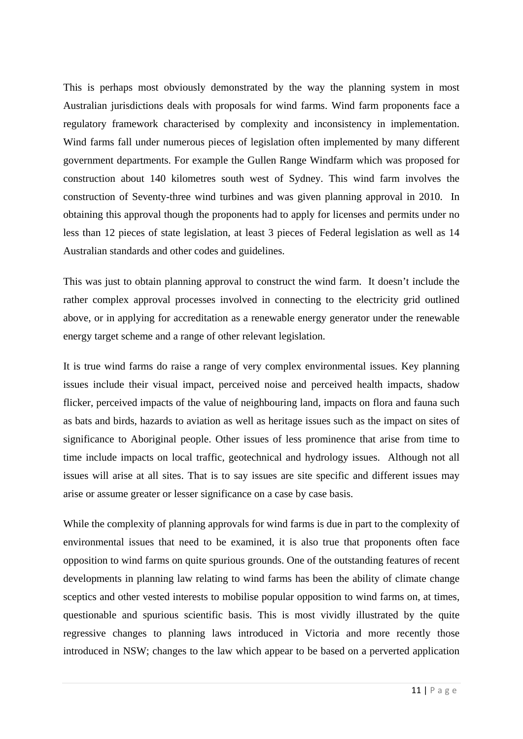This is perhaps most obviously demonstrated by the way the planning system in most Australian jurisdictions deals with proposals for wind farms. Wind farm proponents face a regulatory framework characterised by complexity and inconsistency in implementation. Wind farms fall under numerous pieces of legislation often implemented by many different government departments. For example the Gullen Range Windfarm which was proposed for construction about 140 kilometres south west of Sydney. This wind farm involves the construction of Seventy-three wind turbines and was given planning approval in 2010. In obtaining this approval though the proponents had to apply for licenses and permits under no less than 12 pieces of state legislation, at least 3 pieces of Federal legislation as well as 14 Australian standards and other codes and guidelines.

This was just to obtain planning approval to construct the wind farm. It doesn't include the rather complex approval processes involved in connecting to the electricity grid outlined above, or in applying for accreditation as a renewable energy generator under the renewable energy target scheme and a range of other relevant legislation.

It is true wind farms do raise a range of very complex environmental issues. Key planning issues include their visual impact, perceived noise and perceived health impacts, shadow flicker, perceived impacts of the value of neighbouring land, impacts on flora and fauna such as bats and birds, hazards to aviation as well as heritage issues such as the impact on sites of significance to Aboriginal people. Other issues of less prominence that arise from time to time include impacts on local traffic, geotechnical and hydrology issues. Although not all issues will arise at all sites. That is to say issues are site specific and different issues may arise or assume greater or lesser significance on a case by case basis.

While the complexity of planning approvals for wind farms is due in part to the complexity of environmental issues that need to be examined, it is also true that proponents often face opposition to wind farms on quite spurious grounds. One of the outstanding features of recent developments in planning law relating to wind farms has been the ability of climate change sceptics and other vested interests to mobilise popular opposition to wind farms on, at times, questionable and spurious scientific basis. This is most vividly illustrated by the quite regressive changes to planning laws introduced in Victoria and more recently those introduced in NSW; changes to the law which appear to be based on a perverted application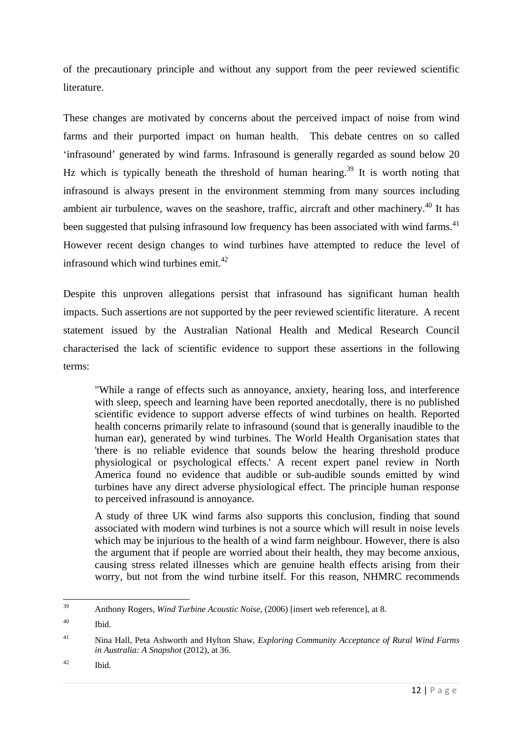of the precautionary principle and without any support from the peer reviewed scientific literature.

These changes are motivated by concerns about the perceived impact of noise from wind farms and their purported impact on human health. This debate centres on so called 'infrasound' generated by wind farms. Infrasound is generally regarded as sound below 20 Hz which is typically beneath the threshold of human hearing.<sup>39</sup> It is worth noting that infrasound is always present in the environment stemming from many sources including ambient air turbulence, waves on the seashore, traffic, aircraft and other machinery.<sup>40</sup> It has been suggested that pulsing infrasound low frequency has been associated with wind farms.<sup>41</sup> However recent design changes to wind turbines have attempted to reduce the level of infrasound which wind turbines emit. $42$ 

Despite this unproven allegations persist that infrasound has significant human health impacts. Such assertions are not supported by the peer reviewed scientific literature. A recent statement issued by the Australian National Health and Medical Research Council characterised the lack of scientific evidence to support these assertions in the following terms:

"While a range of effects such as annoyance, anxiety, hearing loss, and interference with sleep, speech and learning have been reported anecdotally, there is no published scientific evidence to support adverse effects of wind turbines on health. Reported health concerns primarily relate to infrasound (sound that is generally inaudible to the human ear), generated by wind turbines. The World Health Organisation states that 'there is no reliable evidence that sounds below the hearing threshold produce physiological or psychological effects.' A recent expert panel review in North America found no evidence that audible or sub-audible sounds emitted by wind turbines have any direct adverse physiological effect. The principle human response to perceived infrasound is annoyance.

A study of three UK wind farms also supports this conclusion, finding that sound associated with modern wind turbines is not a source which will result in noise levels which may be injurious to the health of a wind farm neighbour. However, there is also the argument that if people are worried about their health, they may become anxious, causing stress related illnesses which are genuine health effects arising from their worry, but not from the wind turbine itself. For this reason, NHMRC recommends

42 Ibid.

 39 Anthony Rogers, *Wind Turbine Acoustic Noise*, (2006) [insert web reference], at 8.

<sup>40</sup> Ibid.

<sup>41</sup> Nina Hall, Peta Ashworth and Hylton Shaw, *Exploring Community Acceptance of Rural Wind Farms in Australia: A Snapshot* (2012), at 36.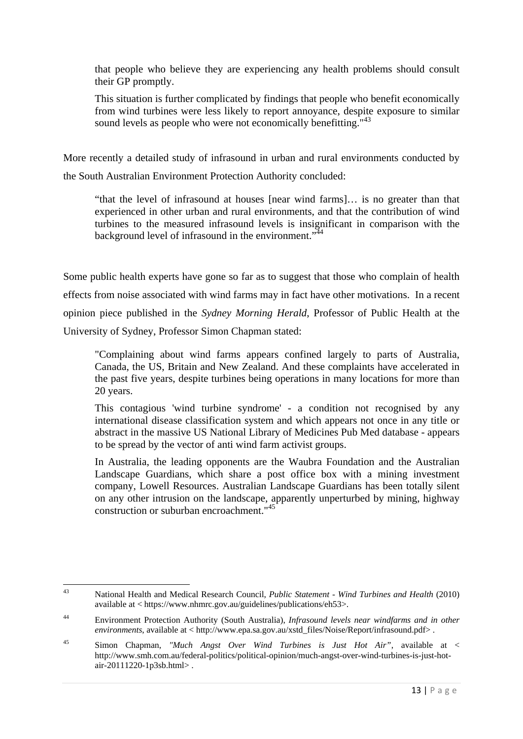that people who believe they are experiencing any health problems should consult their GP promptly.

This situation is further complicated by findings that people who benefit economically from wind turbines were less likely to report annoyance, despite exposure to similar sound levels as people who were not economically benefitting."<sup>43</sup>

More recently a detailed study of infrasound in urban and rural environments conducted by the South Australian Environment Protection Authority concluded:

 "that the level of infrasound at houses [near wind farms]… is no greater than that experienced in other urban and rural environments, and that the contribution of wind turbines to the measured infrasound levels is insignificant in comparison with the background level of infrasound in the environment."<sup>44</sup>

Some public health experts have gone so far as to suggest that those who complain of health effects from noise associated with wind farms may in fact have other motivations. In a recent opinion piece published in the *Sydney Morning Herald*, Professor of Public Health at the University of Sydney, Professor Simon Chapman stated:

"Complaining about wind farms appears confined largely to parts of Australia, Canada, the US, Britain and New Zealand. And these complaints have accelerated in the past five years, despite turbines being operations in many locations for more than 20 years.

This contagious 'wind turbine syndrome' - a condition not recognised by any international disease classification system and which appears not once in any title or abstract in the massive US National Library of Medicines Pub Med database - appears to be spread by the vector of anti wind farm activist groups.

In Australia, the leading opponents are the Waubra Foundation and the Australian Landscape Guardians, which share a post office box with a mining investment company, Lowell Resources. Australian Landscape Guardians has been totally silent on any other intrusion on the landscape, apparently unperturbed by mining, highway construction or suburban encroachment."<sup>45</sup>

 43 National Health and Medical Research Council, *Public Statement - Wind Turbines and Health* (2010) available at < https://www.nhmrc.gov.au/guidelines/publications/eh53>.

<sup>44</sup> Environment Protection Authority (South Australia), *Infrasound levels near windfarms and in other environments*, available at < http://www.epa.sa.gov.au/xstd\_files/Noise/Report/infrasound.pdf> .

<sup>45</sup> Simon Chapman, *"Much Angst Over Wind Turbines is Just Hot Air"*, available at < http://www.smh.com.au/federal-politics/political-opinion/much-angst-over-wind-turbines-is-just-hotair-20111220-1p3sb.html> .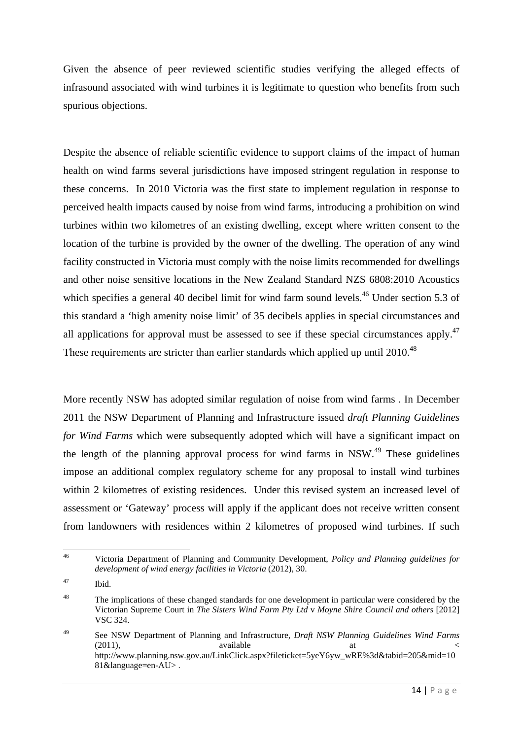Given the absence of peer reviewed scientific studies verifying the alleged effects of infrasound associated with wind turbines it is legitimate to question who benefits from such spurious objections.

Despite the absence of reliable scientific evidence to support claims of the impact of human health on wind farms several jurisdictions have imposed stringent regulation in response to these concerns. In 2010 Victoria was the first state to implement regulation in response to perceived health impacts caused by noise from wind farms, introducing a prohibition on wind turbines within two kilometres of an existing dwelling, except where written consent to the location of the turbine is provided by the owner of the dwelling. The operation of any wind facility constructed in Victoria must comply with the noise limits recommended for dwellings and other noise sensitive locations in the New Zealand Standard NZS 6808:2010 Acoustics which specifies a general 40 decibel limit for wind farm sound levels.<sup>46</sup> Under section 5.3 of this standard a 'high amenity noise limit' of 35 decibels applies in special circumstances and all applications for approval must be assessed to see if these special circumstances apply.<sup>47</sup> These requirements are stricter than earlier standards which applied up until 2010.<sup>48</sup>

More recently NSW has adopted similar regulation of noise from wind farms . In December 2011 the NSW Department of Planning and Infrastructure issued *draft Planning Guidelines for Wind Farms* which were subsequently adopted which will have a significant impact on the length of the planning approval process for wind farms in NSW.<sup>49</sup> These guidelines impose an additional complex regulatory scheme for any proposal to install wind turbines within 2 kilometres of existing residences. Under this revised system an increased level of assessment or 'Gateway' process will apply if the applicant does not receive written consent from landowners with residences within 2 kilometres of proposed wind turbines. If such

<sup>46</sup> Victoria Department of Planning and Community Development, *Policy and Planning guidelines for development of wind energy facilities in Victoria* (2012), 30.

<sup>47</sup> Ibid.

<sup>&</sup>lt;sup>48</sup> The implications of these changed standards for one development in particular were considered by the Victorian Supreme Court in *The Sisters Wind Farm Pty Ltd* v *Moyne Shire Council and others* [2012] VSC 324.

<sup>49</sup> See NSW Department of Planning and Infrastructure, *Draft NSW Planning Guidelines Wind Farms*   $(2011)$ , available at  $\lt$ http://www.planning.nsw.gov.au/LinkClick.aspx?fileticket=5yeY6yw\_wRE%3d&tabid=205&mid=10 81&language=en-AU> .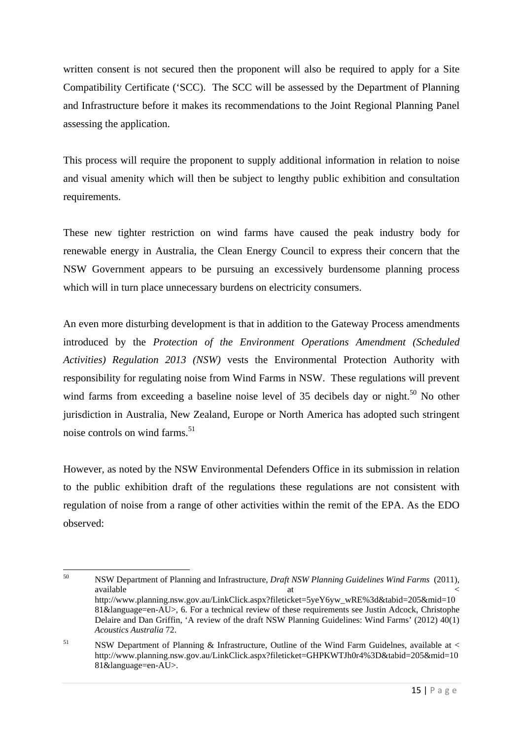written consent is not secured then the proponent will also be required to apply for a Site Compatibility Certificate ('SCC). The SCC will be assessed by the Department of Planning and Infrastructure before it makes its recommendations to the Joint Regional Planning Panel assessing the application.

This process will require the proponent to supply additional information in relation to noise and visual amenity which will then be subject to lengthy public exhibition and consultation requirements.

These new tighter restriction on wind farms have caused the peak industry body for renewable energy in Australia, the Clean Energy Council to express their concern that the NSW Government appears to be pursuing an excessively burdensome planning process which will in turn place unnecessary burdens on electricity consumers.

An even more disturbing development is that in addition to the Gateway Process amendments introduced by the *Protection of the Environment Operations Amendment (Scheduled Activities) Regulation 2013 (NSW)* vests the Environmental Protection Authority with responsibility for regulating noise from Wind Farms in NSW. These regulations will prevent wind farms from exceeding a baseline noise level of  $35$  decibels day or night.<sup>50</sup> No other jurisdiction in Australia, New Zealand, Europe or North America has adopted such stringent noise controls on wind farms.<sup>51</sup>

However, as noted by the NSW Environmental Defenders Office in its submission in relation to the public exhibition draft of the regulations these regulations are not consistent with regulation of noise from a range of other activities within the remit of the EPA. As the EDO observed:

 50 NSW Department of Planning and Infrastructure, *Draft NSW Planning Guidelines Wind Farms* (2011), available  $\alpha$  at  $\alpha$  at  $\alpha$ http://www.planning.nsw.gov.au/LinkClick.aspx?fileticket=5yeY6yw\_wRE%3d&tabid=205&mid=10 81&language=en-AU>, 6. For a technical review of these requirements see Justin Adcock, Christophe Delaire and Dan Griffin, 'A review of the draft NSW Planning Guidelines: Wind Farms' (2012)  $40(1)$ *Acoustics Australia* 72.

<sup>&</sup>lt;sup>51</sup> NSW Department of Planning & Infrastructure, Outline of the Wind Farm Guidelnes, available at  $\lt$ http://www.planning.nsw.gov.au/LinkClick.aspx?fileticket=GHPKWTJh0r4%3D&tabid=205&mid=10 81&language=en-AU>.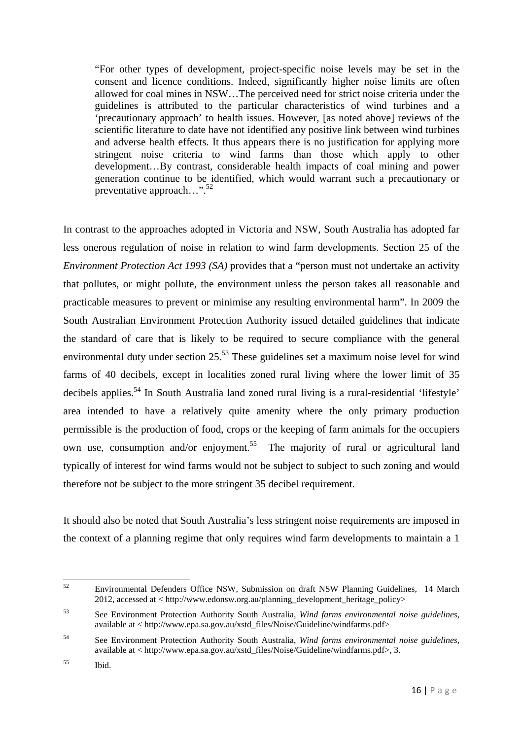"For other types of development, project-specific noise levels may be set in the consent and licence conditions. Indeed, significantly higher noise limits are often allowed for coal mines in NSW…The perceived need for strict noise criteria under the guidelines is attributed to the particular characteristics of wind turbines and a 'precautionary approach' to health issues. However, [as noted above] reviews of the scientific literature to date have not identified any positive link between wind turbines and adverse health effects. It thus appears there is no justification for applying more stringent noise criteria to wind farms than those which apply to other development…By contrast, considerable health impacts of coal mining and power generation continue to be identified, which would warrant such a precautionary or preventative approach...".<sup>52</sup>

In contrast to the approaches adopted in Victoria and NSW, South Australia has adopted far less onerous regulation of noise in relation to wind farm developments. Section 25 of the *Environment Protection Act 1993 (SA)* provides that a "person must not undertake an activity that pollutes, or might pollute, the environment unless the person takes all reasonable and practicable measures to prevent or minimise any resulting environmental harm". In 2009 the South Australian Environment Protection Authority issued detailed guidelines that indicate the standard of care that is likely to be required to secure compliance with the general environmental duty under section  $25<sup>53</sup>$  These guidelines set a maximum noise level for wind farms of 40 decibels, except in localities zoned rural living where the lower limit of 35 decibels applies.<sup>54</sup> In South Australia land zoned rural living is a rural-residential 'lifestyle' area intended to have a relatively quite amenity where the only primary production permissible is the production of food, crops or the keeping of farm animals for the occupiers own use, consumption and/or enjoyment.<sup>55</sup> The majority of rural or agricultural land typically of interest for wind farms would not be subject to subject to such zoning and would therefore not be subject to the more stringent 35 decibel requirement.

It should also be noted that South Australia's less stringent noise requirements are imposed in the context of a planning regime that only requires wind farm developments to maintain a 1

 52 Environmental Defenders Office NSW, Submission on draft NSW Planning Guidelines, 14 March 2012, accessed at < http://www.edonsw.org.au/planning\_development\_heritage\_policy>

<sup>53</sup> See Environment Protection Authority South Australia, *Wind farms environmental noise guidelines*, available at < http://www.epa.sa.gov.au/xstd\_files/Noise/Guideline/windfarms.pdf>

<sup>54</sup> See Environment Protection Authority South Australia, *Wind farms environmental noise guidelines*, available at < http://www.epa.sa.gov.au/xstd\_files/Noise/Guideline/windfarms.pdf>, 3.

<sup>55</sup> Ibid.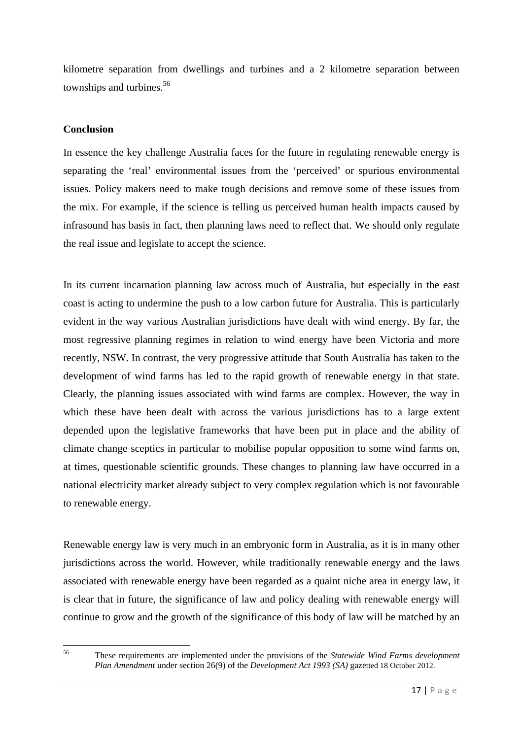kilometre separation from dwellings and turbines and a 2 kilometre separation between townships and turbines.<sup>56</sup>

### **Conclusion**

In essence the key challenge Australia faces for the future in regulating renewable energy is separating the 'real' environmental issues from the 'perceived' or spurious environmental issues. Policy makers need to make tough decisions and remove some of these issues from the mix. For example, if the science is telling us perceived human health impacts caused by infrasound has basis in fact, then planning laws need to reflect that. We should only regulate the real issue and legislate to accept the science.

In its current incarnation planning law across much of Australia, but especially in the east coast is acting to undermine the push to a low carbon future for Australia. This is particularly evident in the way various Australian jurisdictions have dealt with wind energy. By far, the most regressive planning regimes in relation to wind energy have been Victoria and more recently, NSW. In contrast, the very progressive attitude that South Australia has taken to the development of wind farms has led to the rapid growth of renewable energy in that state. Clearly, the planning issues associated with wind farms are complex. However, the way in which these have been dealt with across the various jurisdictions has to a large extent depended upon the legislative frameworks that have been put in place and the ability of climate change sceptics in particular to mobilise popular opposition to some wind farms on, at times, questionable scientific grounds. These changes to planning law have occurred in a national electricity market already subject to very complex regulation which is not favourable to renewable energy.

Renewable energy law is very much in an embryonic form in Australia, as it is in many other jurisdictions across the world. However, while traditionally renewable energy and the laws associated with renewable energy have been regarded as a quaint niche area in energy law, it is clear that in future, the significance of law and policy dealing with renewable energy will continue to grow and the growth of the significance of this body of law will be matched by an

<sup>56</sup> These requirements are implemented under the provisions of the *Statewide Wind Farms development Plan Amendment* under section 26(9) of the *Development Act 1993 (SA)* gazetted 18 October 2012.